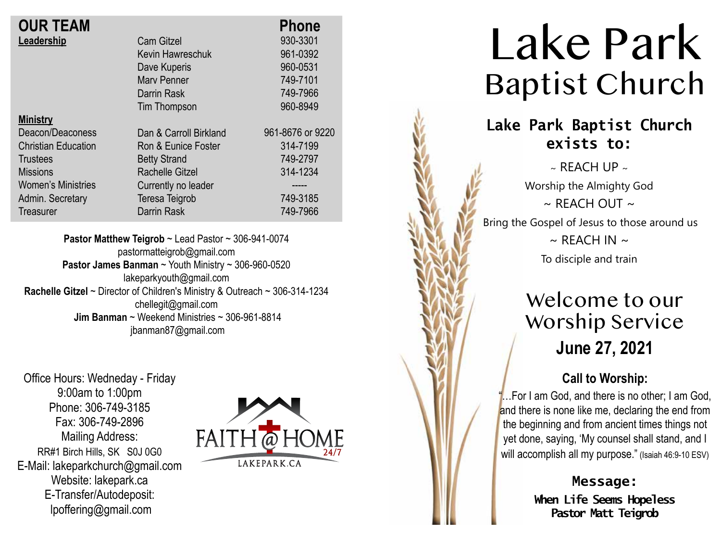| <b>OUR TEAM</b>            |                        | Phone            |
|----------------------------|------------------------|------------------|
| Leadership                 | <b>Cam Gitzel</b>      | 930-3301         |
|                            | Kevin Hawreschuk       | 961-0392         |
|                            | Dave Kuperis           | 960-0531         |
|                            | <b>Mary Penner</b>     | 749-7101         |
|                            | Darrin Rask            | 749-7966         |
|                            | Tim Thompson           | 960-8949         |
| <b>Ministry</b>            |                        |                  |
| Deacon/Deaconess           | Dan & Carroll Birkland | 961-8676 or 9220 |
| <b>Christian Education</b> | Ron & Eunice Foster    | 314-7199         |
| <b>Trustees</b>            | <b>Betty Strand</b>    | 749-2797         |
| <b>Missions</b>            | <b>Rachelle Gitzel</b> | 314-1234         |
| <b>Women's Ministries</b>  | Currently no leader    |                  |
| Admin. Secretary           | Teresa Teigrob         | 749-3185         |
| Treasurer                  | Darrin Rask            | 749-7966         |

**Pastor Matthew Teigrob** ~ Lead Pastor ~ 306-941-0074 pastormatteigrob@gmail.com **Pastor James Banman** ~ Youth Ministry ~ 306-960-0520 lakeparkyouth@gmail.com **Rachelle Gitzel** ~ Director of Children's Ministry & Outreach ~ 306-314-1234 chellegit@gmail.com  **Jim Banman** ~ Weekend Ministries ~ 306-961-8814 jbanman87@gmail.com

Office Hours: Wedneday - Friday 9:00am to 1:00pm Phone: 306-749-3185 Fax: 306-749-2896 Mailing Address: RR#1 Birch Hills, SK S0J 0G0 E-Mail: lakeparkchurch@gmail.com Website: lakepark.ca E-Transfer/Autodeposit: lpoffering@gmail.com



# Lake Park Baptist Church

### **Lake Park Baptist Church exists to:**

 $\sim$  REACH UP  $\sim$ Worship the Almighty God  $\sim$  RFACH OUT  $\sim$ Bring the Gospel of Jesus to those around us  $\sim$  REACH IN  $\sim$ To disciple and train

### Welcome to our Worship Service **June 27, 2021**

#### **Call to Worship:**

"...For I am God, and there is no other; I am God, and there is none like me, declaring the end from the beginning and from ancient times things not yet done, saying, 'My counsel shall stand, and I will accomplish all my purpose." (Isaiah 46:9-10 ESV)

> **Message: When Life Seems Hopeless Pastor Matt Teigrob**